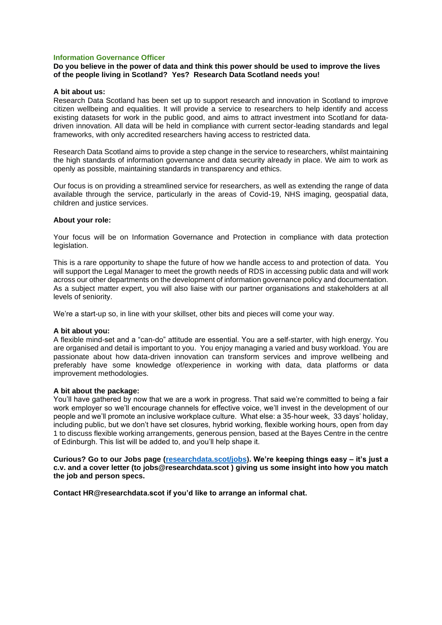## **Information Governance Officer**

### **Do you believe in the power of data and think this power should be used to improve the lives of the people living in Scotland? Yes? Research Data Scotland needs you!**

#### **A bit about us:**

Research Data Scotland has been set up to support research and innovation in Scotland to improve citizen wellbeing and equalities. It will provide a service to researchers to help identify and access existing datasets for work in the public good, and aims to attract investment into Scotland for datadriven innovation. All data will be held in compliance with current sector-leading standards and legal frameworks, with only accredited researchers having access to restricted data.

Research Data Scotland aims to provide a step change in the service to researchers, whilst maintaining the high standards of information governance and data security already in place. We aim to work as openly as possible, maintaining standards in transparency and ethics.

Our focus is on providing a streamlined service for researchers, as well as extending the range of data available through the service, particularly in the areas of Covid-19, NHS imaging, geospatial data, children and justice services.

#### **About your role:**

Your focus will be on Information Governance and Protection in compliance with data protection legislation.

This is a rare opportunity to shape the future of how we handle access to and protection of data. You will support the Legal Manager to meet the growth needs of RDS in accessing public data and will work across our other departments on the development of information governance policy and documentation. As a subject matter expert, you will also liaise with our partner organisations and stakeholders at all levels of seniority.

We're a start-up so, in line with your skillset, other bits and pieces will come your way.

### **A bit about you:**

A flexible mind-set and a "can-do" attitude are essential. You are a self-starter, with high energy. You are organised and detail is important to you. You enjoy managing a varied and busy workload. You are passionate about how data-driven innovation can transform services and improve wellbeing and preferably have some knowledge of/experience in working with data, data platforms or data improvement methodologies.

## **A bit about the package:**

You'll have gathered by now that we are a work in progress. That said we're committed to being a fair work employer so we'll encourage channels for effective voice, we'll invest in the development of our people and we'll promote an inclusive workplace culture. What else: a 35-hour week, 33 days' holiday, including public, but we don't have set closures, hybrid working, flexible working hours, open from day 1 to discuss flexible working arrangements, generous pension, based at the Bayes Centre in the centre of Edinburgh. This list will be added to, and you'll help shape it.

**Curious? Go to our Jobs page [\(researchdata.scot/jobs\)](https://researchdata.scot/jobs). We're keeping things easy – it's just a c.v. and a cover letter (to jobs@researchdata.scot ) giving us some insight into how you match the job and person specs.** 

**Contact HR@researchdata.scot if you'd like to arrange an informal chat.**